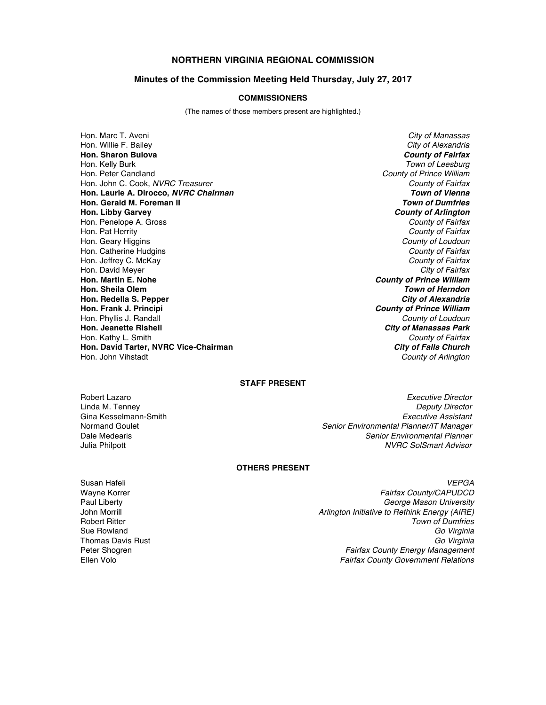# **NORTHERN VIRGINIA REGIONAL COMMISSION**

### **Minutes of the Commission Meeting Held Thursday, July 27, 2017**

## **COMMISSIONERS**

(The names of those members present are highlighted.)

Hon. Marc T. Aveni *City of Manassas* Hon. Willie F. Bailey *City of Alexandria* **Hon. Sharon Bulova** *County of Fairfax* Hon. Kelly Burk *Town of Leesburg* Hon. Peter Candland *County of Prince William* Hon. John C. Cook, *NVRC Treasurer County of Fairfax* **Hon. Laurie A. Dirocco,** *NVRC Chairman Town of Vienna* **Hon. Gerald M. Foreman II Hon. Libby Garvey** *County of Arlington* Hon. Penelope A. Gross *County of Fairfax* Hon. Pat Herrity *County of Fairfax* Hon. Geary Higgins *County of Loudoun* Hon. Catherine Hudgins *County of Fairfax* Hon. Jeffrey C. McKay *County of Fairfax* Hon. David Meyer *City of Fairfax* **Hon. Martin E. Nohe** *County of Prince William* **Hon. Sheila Olem** *Town of Herndon* **Hon. Redella S. Pepper Hon. Frank J. Principi** *County of Prince William* Hon. Phyllis J. Randall *County of Loudoun* Hon. Kathy L. Smith *County of Fairfax* **Hon. David Tarter, NVRC Vice-Chairman** *City of Falls Church*

**City of Manassas Park** Hon. John Vihstadt *County of Arlington*

### **STAFF PRESENT**

Robert Lazaro *Executive Director* Linda M. Tenney *Deputy Director* Gina Kesselmann-Smith *Executive Assistant* Normand Goulet *Senior Environmental Planner/IT Manager* Dale Medearis *Senior Environmental Planner* Julia Philpott *NVRC SolSmart Advisor*

### **OTHERS PRESENT**

Susan Hafeli *VEPGA* Wayne Korrer *Fairfax County/CAPUDCD* Paul Liberty *George Mason University* John Morrill *Arlington Initiative to Rethink Energy (AIRE)* Robert Ritter *Town of Dumfries* Sue Rowland *Go Virginia* Thomas Davis Rust *Go Virginia* Peter Shogren *Fairfax County Energy Management* Ellen Volo *Fairfax County Government Relations*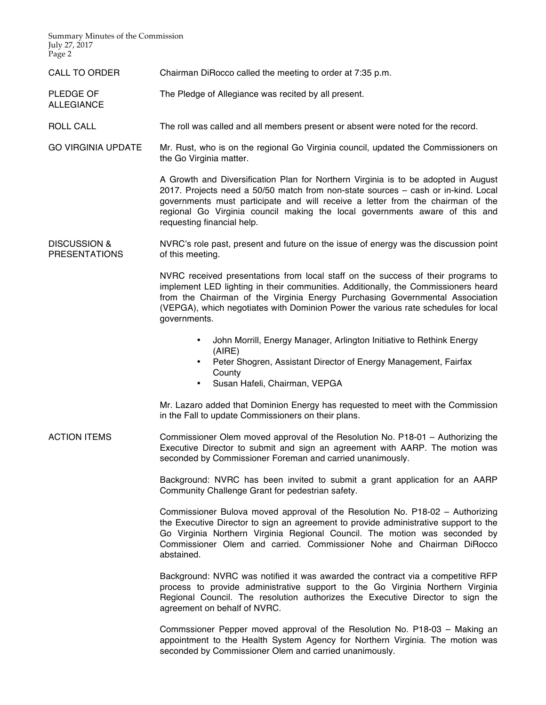Summary Minutes of the Commission July 27, 2017 Page 2

ALLEGIANCE

- CALL TO ORDER Chairman DiRocco called the meeting to order at 7:35 p.m.
- PLEDGE OF The Pledge of Allegiance was recited by all present.
- ROLL CALL The roll was called and all members present or absent were noted for the record.
- GO VIRGINIA UPDATE Mr. Rust, who is on the regional Go Virginia council, updated the Commissioners on the Go Virginia matter.

A Growth and Diversification Plan for Northern Virginia is to be adopted in August 2017. Projects need a 50/50 match from non-state sources – cash or in-kind. Local governments must participate and will receive a letter from the chairman of the regional Go Virginia council making the local governments aware of this and requesting financial help.

DISCUSSION & PRESENTATIONS NVRC's role past, present and future on the issue of energy was the discussion point of this meeting.

> NVRC received presentations from local staff on the success of their programs to implement LED lighting in their communities. Additionally, the Commissioners heard from the Chairman of the Virginia Energy Purchasing Governmental Association (VEPGA), which negotiates with Dominion Power the various rate schedules for local governments.

- John Morrill, Energy Manager, Arlington Initiative to Rethink Energy (AIRE)
- Peter Shogren, Assistant Director of Energy Management, Fairfax **County**
- Susan Hafeli, Chairman, VEPGA

Mr. Lazaro added that Dominion Energy has requested to meet with the Commission in the Fall to update Commissioners on their plans.

ACTION ITEMS Commissioner Olem moved approval of the Resolution No. P18-01 – Authorizing the Executive Director to submit and sign an agreement with AARP. The motion was seconded by Commissioner Foreman and carried unanimously.

> Background: NVRC has been invited to submit a grant application for an AARP Community Challenge Grant for pedestrian safety.

> Commissioner Bulova moved approval of the Resolution No. P18-02 – Authorizing the Executive Director to sign an agreement to provide administrative support to the Go Virginia Northern Virginia Regional Council. The motion was seconded by Commissioner Olem and carried. Commissioner Nohe and Chairman DiRocco abstained.

> Background: NVRC was notified it was awarded the contract via a competitive RFP process to provide administrative support to the Go Virginia Northern Virginia Regional Council. The resolution authorizes the Executive Director to sign the agreement on behalf of NVRC.

> Commssioner Pepper moved approval of the Resolution No. P18-03 – Making an appointment to the Health System Agency for Northern Virginia. The motion was seconded by Commissioner Olem and carried unanimously.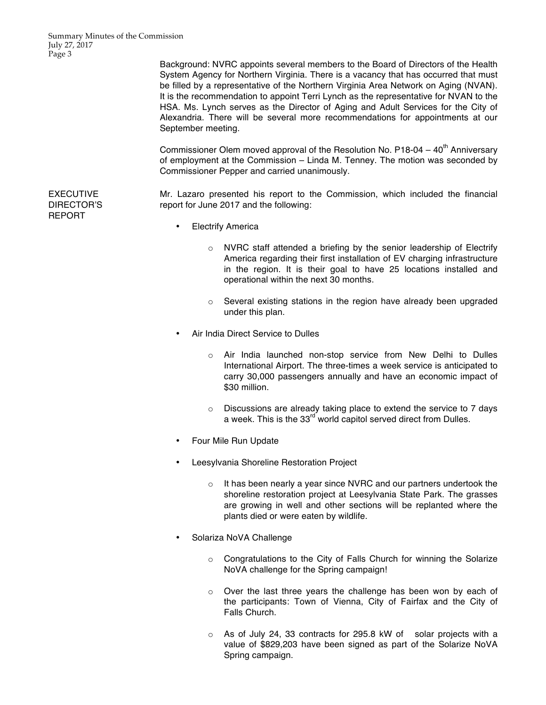Background: NVRC appoints several members to the Board of Directors of the Health System Agency for Northern Virginia. There is a vacancy that has occurred that must be filled by a representative of the Northern Virginia Area Network on Aging (NVAN). It is the recommendation to appoint Terri Lynch as the representative for NVAN to the HSA. Ms. Lynch serves as the Director of Aging and Adult Services for the City of Alexandria. There will be several more recommendations for appointments at our September meeting.

Commissioner Olem moved approval of the Resolution No. P18-04 –  $40<sup>th</sup>$  Anniversary of employment at the Commission – Linda M. Tenney. The motion was seconded by Commissioner Pepper and carried unanimously.

Mr. Lazaro presented his report to the Commission, which included the financial report for June 2017 and the following:

- Electrify America
	- o NVRC staff attended a briefing by the senior leadership of Electrify America regarding their first installation of EV charging infrastructure in the region. It is their goal to have 25 locations installed and operational within the next 30 months.
	- o Several existing stations in the region have already been upgraded under this plan.
- Air India Direct Service to Dulles
	- $\circ$  Air India launched non-stop service from New Delhi to Dulles International Airport. The three-times a week service is anticipated to carry 30,000 passengers annually and have an economic impact of \$30 million.
	- $\circ$  Discussions are already taking place to extend the service to 7 days a week. This is the  $33<sup>rd</sup>$  world capitol served direct from Dulles.
- Four Mile Run Update
- Leesylvania Shoreline Restoration Project
	- $\circ$  It has been nearly a year since NVRC and our partners undertook the shoreline restoration project at Leesylvania State Park. The grasses are growing in well and other sections will be replanted where the plants died or were eaten by wildlife.
- Solariza NoVA Challenge
	- $\circ$  Congratulations to the City of Falls Church for winning the Solarize NoVA challenge for the Spring campaign!
	- o Over the last three years the challenge has been won by each of the participants: Town of Vienna, City of Fairfax and the City of Falls Church.
	- $\circ$  As of July 24, 33 contracts for 295.8 kW of solar projects with a value of \$829,203 have been signed as part of the Solarize NoVA Spring campaign.

EXECUTIVE DIRECTOR'S REPORT